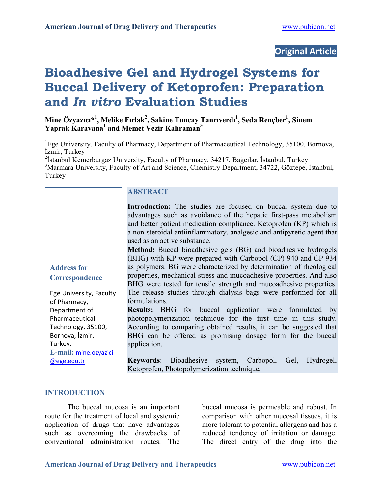# **Original Article**

# **Bioadhesive Gel and Hydrogel Systems for Buccal Delivery of Ketoprofen: Preparation and** *In vitro* **Evaluation Studies**

**Mine Özyazıcı\*1 , Melike Fırlak<sup>2</sup> , Sakine Tuncay Tanrıverdı<sup>1</sup> , Seda Rençber1 , Sinem Yaprak Karavana1 and Memet Vezir Kahraman<sup>3</sup>**

<sup>1</sup>Ege University, Faculty of Pharmacy, Department of Pharmaceutical Technology, 35100, Bornova, İzmir, Turkey

<sup>2</sup>İstanbul Kemerburgaz University, Faculty of Pharmacy, 34217, Bağcılar, İstanbul, Turkey <sup>3</sup>Marmara University, Faculty of Art and Science, Chemistry Department, 34722, Göztepe, İstanbul, Turkey

| <b>Address for</b> |  |
|--------------------|--|
| Correspondence     |  |

Ege University, Faculty of Pharmacy, Department of Pharmaceutical Technology, 35100, Bornova, İzmir, Turkey. **E-mail:** mine.ozyazici @ege.edu.tr

#### **ABSTRACT**

**Introduction:** The studies are focused on buccal system due to advantages such as avoidance of the hepatic first-pass metabolism and better patient medication compliance. Ketoprofen (KP) which is a non-steroidal antiinflammatory, analgesic and antipyretic agent that used as an active substance.

**Method:** Buccal bioadhesive gels (BG) and bioadhesive hydrogels (BHG) with KP were prepared with Carbopol (CP) 940 and CP 934 as polymers. BG were characterized by determination of rheological properties, mechanical stress and mucoadhesive properties. And also BHG were tested for tensile strength and mucoadhesive properties. The release studies through dialysis bags were performed for all formulations.

**Results:** BHG for buccal application were formulated by photopolymerization technique for the first time in this study. According to comparing obtained results, it can be suggested that BHG can be offered as promising dosage form for the buccal application.

**Keywords**: Bioadhesive system, Carbopol, Gel, Hydrogel, Ketoprofen, Photopolymerization technique.

#### **INTRODUCTION**

The buccal mucosa is an important route for the treatment of local and systemic application of drugs that have advantages such as overcoming the drawbacks of conventional administration routes. The buccal mucosa is permeable and robust. In comparison with other mucosal tissues, it is more tolerant to potential allergens and has a reduced tendency of irritation or damage. The direct entry of the drug into the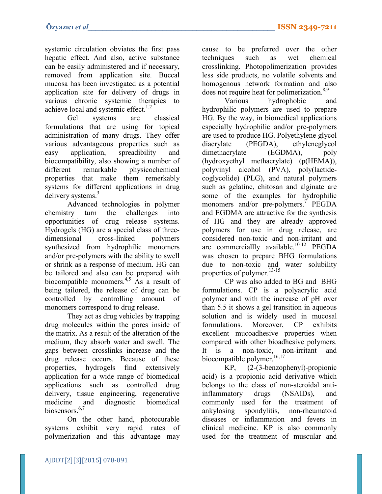systemic circulation obviates the first pass hepatic effect. And also, active substance can be easily administered and if necessary, removed from application site. Buccal mucosa has been investigated as a potential application site for delivery of drugs in various chronic systemic therapies to achieve local and systemic effect. $1,2$ 

Gel systems are classical formulations that are using for topical administration of many drugs. They offer various advantageous properties such as easy application, spreadibility and biocompatibility, also showing a number of different remarkable physicochemical properties that make them remerkably systems for different applications in drug delivery systems.<sup>3</sup>

Advanced technologies in polymer chemistry turn the challenges into opportunities of drug release systems. Hydrogels (HG) are a special class of threedimensional cross-linked polymers synthesized from hydrophilic monomers and/or pre-polymers with the ability to swell or shrink as a response of medium. HG can be tailored and also can be prepared with biocompatible monomers.4,5 As a result of being tailored, the release of drug can be controlled by controlling amount of monomers correspond to drug release.

They act as drug vehicles by trapping drug molecules within the pores inside of the matrix. As a result of the alteration of the medium, they absorb water and swell. The gaps between crosslinks increase and the drug release occurs. Because of these properties, hydrogels find extensively application for a wide range of biomedical applications such as controlled drug delivery, tissue engineering, regenerative medicine and diagnostic biomedical biosensors<sup>6,7</sup>

On the other hand, photocurable systems exhibit very rapid rates of polymerization and this advantage may cause to be preferred over the other techniques such as wet chemical crosslinking. Photopolimerization provides less side products, no volatile solvents and homogenous network formation and also does not require heat for polimerization.<sup>8,9</sup>

Various hydrophobic and hydrophilic polymers are used to prepare HG. By the way, in biomedical applications especially hydrophilic and/or pre-polymers are used to produce HG. Polyethylene glycol diacrylate (PEGDA), ethyleneglycol dimethacrylate (EGDMA), poly (hydroxyethyl methacrylate) (p(HEMA)), polyvinyl alcohol (PVA), poly(lactidecoglycolide) (PLG), and natural polymers such as gelatine, chitosan and alginate are some of the examples for hydrophilic monomers and/or pre-polymers.<sup>7</sup> PEGDA and EGDMA are attractive for the synthesis of HG and they are already approved polymers for use in drug release, are considered non-toxic and non-irritant and are commerciallly available.<sup>10-12</sup> PEGDA was chosen to prepare BHG formulations due to non-toxic and water solubility properties of polymer.<sup>13-15</sup>

CP was also added to BG and BHG formulations. CP is a polyacrylic acid polymer and with the increase of pH over than 5.5 it shows a gel transition in aqueous solution and is widely used in mucosal formulations. Moreover, CP exhibits excellent mucoadhesive properties when compared with other bioadhesive polymers. It is a non-toxic, non-irritant and biocompatible polymer.<sup>16,17</sup>

KP, (2-(3-benzophenyl)-propionic acid) is a propionic acid derivative which belongs to the class of non-steroidal antiinflammatory drugs (NSAIDs), and commonly used for the treatment of ankylosing spondylitis, non-rheumatoid diseases or inflammation and fevers in clinical medicine. KP is also commonly used for the treatment of muscular and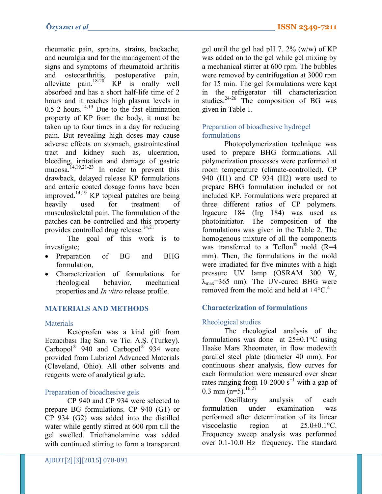rheumatic pain, sprains, strains, backache, and neuralgia and for the management of the signs and symptoms of rheumatoid arthritis and osteoarthritis, postoperative pain, alleviate  $\text{pain.}^{18-20}$  KP is orally well absorbed and has a short half-life time of 2 hours and it reaches high plasma levels in 0.5-2 hours.<sup>14,19</sup> Due to the fast elimination property of KP from the body, it must be taken up to four times in a day for reducing pain. But revealing high doses may cause adverse effects on stomach, gastrointestinal tract and kidney such as, ulceration, bleeding, irritation and damage of gastric mucosa.<sup> $14,19,21-23$ </sup> In order to prevent this drawback, delayed release KP formulations and enteric coated dosage forms have been improved.<sup>14,19</sup> KP topical patches are being heavily used for treatment of musculoskeletal pain. The formulation of the patches can be controlled and this property provides controlled drug release. $14,21$ <sup>\*</sup>

The goal of this work is to investigate;

- Preparation of BG and BHG formulation,
- Characterization of formulations for rheological behavior, mechanical properties and *In vitro* release profile.

# **MATERIALS AND METHODS**

#### **Materials**

Ketoprofen was a kind gift from Eczacıbası İlaç San. ve Tic. A.Ş. (Turkey). Carbopol<sup>®</sup> 940 and Carbopol<sup>®</sup> 934 were provided from Lubrizol Advanced Materials (Cleveland, Ohio). All other solvents and reagents were of analytical grade.

# Preparation of bioadhesive gels

CP 940 and CP 934 were selected to prepare BG formulations. CP 940 (G1) or CP 934 (G2) was added into the distilled water while gently stirred at 600 rpm till the gel swelled. Triethanolamine was added with continued stirring to form a transparent

gel until the gel had pH 7.  $2\%$  (w/w) of KP was added on to the gel while gel mixing by a mechanical stirrer at 600 rpm. The bubbles were removed by centrifugation at 3000 rpm for 15 min. The gel formulations were kept in the refrigerator till characterization studies.<sup>24-26</sup> The composition of BG was given in Table 1.

# Preparation of bioadhesive hydrogel formulations

Photopolymerization technique was used to prepare BHG formulations. All polymerization processes were performed at room temperature (climate-controlled). CP 940 (H1) and CP 934 (H2) were used to prepare BHG formulation included or not included KP. Formulations were prepared at three different ratios of CP polymers. Irgacure 184 (Irg 184) was used as photoinitiator. The composition of the formulations was given in the Table 2. The homogenous mixture of all the components was transferred to a Teflon<sup>®</sup> mold  $(R=4)$ mm). Then, the formulations in the mold were irradiated for five minutes with a high pressure UV lamp (OSRAM 300 W,  $\lambda_{\text{max}}$ =365 nm). The UV-cured BHG were removed from the mold and held at  $+4^{\circ}$ C.<sup>4</sup>

# **Characterization of formulations**

# Rheological studies

The rheological analysis of the formulations was done at  $25 \pm 0.1$ °C using Haake Mars Rheometer, in flow modewith parallel steel plate (diameter 40 mm). For continuous shear analysis, flow curves for each formulation were measured over shear rates ranging from 10-2000 s<sup> $-1$ </sup> with a gap of 0.3 mm  $(n=5)$ .<sup>16,27</sup>

Oscillatory analysis of each formulation under examination was performed after determination of its linear viscoelastic region at 25.0±0.1°C. Frequency sweep analysis was performed over 0.1-10.0 Hz frequency. The standard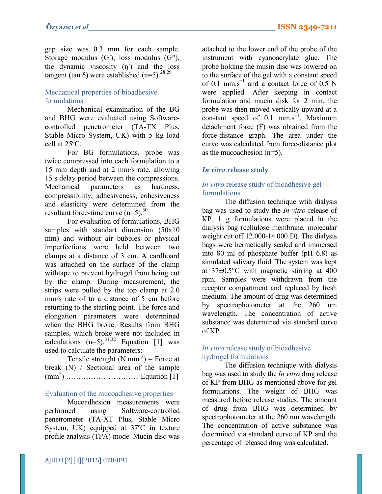gap size was 0.3 mm for each sample. Storage modulus (G′), loss modulus (G′′), the dynamic viscosity (ŋ′) and the loss tangent (tan  $\delta$ ) were established (n=5).<sup>28,29</sup>

## Mechanical properties of bioadhesive formulations

Mechanical examination of the BG and BHG were evaluated using Softwarecontrolled penetrometer (TA-TX Plus, Stable Micro System, UK) with 5 kg load cell at 25ºC.

For BG formulations, probe was twice compressed into each formulation to a 15 mm depth and at 2 mm/s rate, allowing 15 s delay period between the compressions. Mechanical parameters as hardness, compressibility, adhesiveness, cohesiveness and elasticity were determined from the resultant force-time curve  $(n=5)$ .<sup>30</sup>

For evaluation of formulations, BHG samples with standart dimension (50x10) mm) and without air bubbles or physical imperfections were held between two clamps at a distance of 3 cm. A cardboard was attached on the surface of the clamp withtape to prevent hydrogel from being cut by the clamp. During measurement, the strips were pulled by the top clamp at 2.0 mm/s rate of to a distance of 5 cm before returning to the starting point. The force and elongation parameters were determined when the BHG broke. Results from BHG samples, which broke were not included in calculations  $(n=5)$ .<sup>31,32</sup> Equation [1] was used to calculate the parameters:

Tensile strenght  $(N.nm<sup>-2</sup>)$  = Force at break (N) / Sectional area of the sample (mm2 ) ………………………... Equation [1]

#### Evaluation of the mucoadhesive properties

Mucoadhesion measurements were performed using Software-controlled penetrometer (TA-XT Plus, Stable Micro System, UK) equipped at 37ºC in texture profile analysis (TPA) mode. Mucin disc was

attached to the lower end of the probe of the instrument with cyanoacrylate glue. The probe holding the musin disc was lowered on to the surface of the gel with a constant speed of 0.1 mm.s<sup> $-1$ </sup> and a contact force of 0.5 N were applied. After keeping in contact formulation and mucin disk for 2 min, the probe was then moved vertically upward at a constant speed of 0.1 mm.s<sup> $-1$ </sup>. Maximum detachment force (F) was obtained from the force-distance graph. The area under the curve was calculated from force-distance plot as the mucoadhesion (n=5).

#### *In vitro* **release study**

### *In vitro* release study of bioadhesive gel formulations

The diffusion technique wtih dialysis bag was used to study the *In vitro* release of KP. 1 g formulations were placed in the dialysis bag (cellulose membrane, molecular weight cut off 12.000-14.000 D). The dialysis bags were hermetically sealed and immersed into 80 ml of phosphate buffer (pH 6.8) as simulated salivary fluid. The system was kept at 37±0.5°C with magnetic stirring at 400 rpm. Samples were withdrawn from the receptor compartment and replaced by fresh medium. The amount of drug was determined by spectrophotometer at the 260 nm wavelength. The concentration of active substance was determined via standard curve of KP.

#### *In vitro* release study of bioadhesive hydrogel formulations

The diffusion technique with dialysis bag was used to study the *In vitro* drug release of KP from BHG as mentioned above for gel formulations. The weight of BHG was measured before release studies. The amount of drug from BHG was determined by spectrophotometer at the 260 nm wavelength. The concentration of active substance was determined via standard curve of KP and the percentage of released drug was calculated.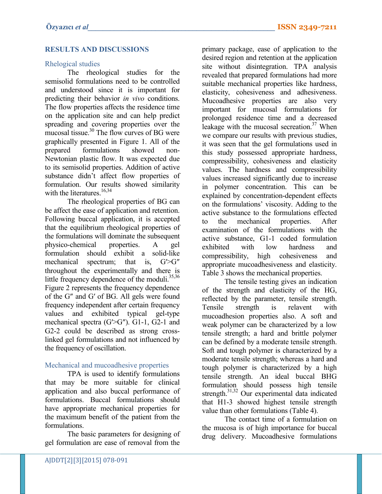# **RESULTS AND DISCUSSIONS**

### Rhelogical studies

The rheological studies for the semisolid formulations need to be controlled and understood since it is important for predicting their behavior *in vivo* conditions. The flow properties affects the residence time on the application site and can help predict spreading and covering properties over the mucosal tissue. $30$  The flow curves of BG were graphically presented in Figure 1. All of the prepared formulations showed non-Newtonian plastic flow. It was expected due to its semisolid properties. Addition of active substance didn't affect flow properties of formulation. Our results showed similarity with the literatures.<sup>16,34</sup>

The rheological properties of BG can be affect the ease of application and retention. Following buccal application, it is accepted that the equilibrium rheological properties of the formulations will dominate the subsequent physico-chemical properties. A gel formulation should exhibit a solid-like mechanical spectrum; that is,  $G' > G''$ throughout the experimentally and there is little frequency dependence of the moduli.<sup>35,36</sup> Figure 2 represents the frequency dependence of the G″ and G′ of BG. All gels were found frequency independent after certain frequency values and exhibited typical gel-type mechanical spectra (G'>G"). G1-1, G2-1 and G2-2 could be described as strong crosslinked gel formulations and not influenced by the frequency of oscillation.

# Mechanical and mucoadhesive properties

TPA is used to identify formulations that may be more suitable for clinical application and also buccal performance of formulations. Buccal formulations should have appropriate mechanical properties for the maximum benefit of the patient from the formulations.

The basic parameters for designing of gel formulation are ease of removal from the

primary package, ease of application to the desired region and retention at the application site without disintegration. TPA analysis revealed that prepared formulations had more suitable mechanical properties like hardness, elasticity, cohesiveness and adhesiveness. Mucoadhesive properties are also very important for mucosal formulations for prolonged residence time and a decreased leakage with the mucosal secreation.<sup>37</sup> When we compare our results with previous studies, it was seen that the gel formulations used in this study possessed appropriate hardness, compressibility, cohesiveness and elasticity values. The hardness and compressibility values increased significantly due to increase in polymer concentration. This can be explained by concentration-dependent effects on the formulations' viscosity. Adding to the active substance to the formulations effected to the mechanical properties. After examination of the formulations with the active substance, G1-1 coded formulation exhibited with low hardness and compressibility, high cohesiveness and appropriate mucoadhesiveness and elasticity. Table 3 shows the mechanical properties.

The tensile testing gives an indication of the strength and elasticity of the HG, reflected by the parameter, tensile strength. Tensile strength is relavent with mucoadhesion properties also. A soft and weak polymer can be characterized by a low tensile strength; a hard and brittle polymer can be defined by a moderate tensile strength. Soft and tough polymer is characterized by a moderate tensile strength; whereas a hard and tough polymer is characterized by a high tensile strength. An ideal buccal BHG formulation should possess high tensile strength.<sup>31,32</sup> Our experimental data indicated that H1-3 showed highest tensile strength value than other formulations (Table 4).

The contact time of a formulation on the mucosa is of high importance for buccal drug delivery. Mucoadhesive formulations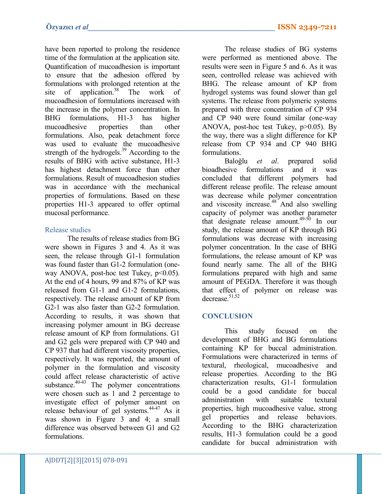have been reported to prolong the residence time of the formulation at the application site. Quantification of mucoadhesion is important to ensure that the adhesion offered by formulations with prolonged retention at the site of application.<sup>38</sup> The work of mucoadhesion of formulations increased with the increase in the polymer concentration. In BHG formulations, H1-3 has higher mucoadhesive properties than other formulations. Also, peak detachment force was used to evaluate the mucoadhesive strength of the hydrogels. $39$  According to the results of BHG with active substance, H1-3 has highest detachment force than other formulations. Result of mucoadhesion studies was in accordance with the mechanical properties of formulations. Based on these properties H1-3 appeared to offer optimal mucosal performance.

## Release studies

The results of release studies from BG were shown in Figures 3 and 4. As it was seen, the release through G1-1 formulation was found faster than G1-2 formulation (oneway ANOVA, post-hoc test Tukey,  $p<0.05$ ). At the end of 4 hours, 99 and 87% of KP was released from G1-1 and G1-2 formulations, respectively. The release amount of KP from G2-1 was also faster than G2-2 formulation. According to results, it was shown that increasing polymer amount in BG decrease release amount of KP from formulations. G1 and G2 gels were prepared with CP 940 and CP 937 that had different viscosity properties, respectively. It was reported, the amount of polymer in the formulation and viscosity could affect release characteristic of active substance. $40-43$  The polymer concentrations were chosen such as 1 and 2 percentage to investigate effect of polymer amount on release behaviour of gel systems.44-47 As it was shown in Figure 3 and 4; a small difference was observed between G1 and G2 formulations.

The release studies of BG systems were performed as mentioned above. The results were seen in Figure 5 and 6. As it was seen, controlled release was achieved with BHG. The release amount of KP from hydrogel systems was found slower than gel systems. The release from polymeric systems prepared with three concentration of CP 934 and CP 940 were found similar (one-way ANOVA, post-hoc test Tukey, p>0.05). By the way, there was a slight difference for KP release from CP 934 and CP 940 BHG formulations.

Baloğlu *et al*. prepared solid bioadhesive formulations and it was concluded that different polymers had different release profile. The release amount was decrease while polymer concentration and viscosity increase.<sup>48</sup> And also swelling capacity of polymer was another parameter that designate release amount. $49-50$  In our study, the release amount of KP through BG formulations was decrease with increasing polymer concentration. In the case of BHG formulations, the release amount of KP was found nearly same. The all of the BHG formulations prepared with high and same amount of PEGDA. Therefore it was though that effect of polymer on release was decrease  $51,52$ 

# **CONCLUSION**

This study focused on the development of BHG and BG formulations containing KP for buccal administration. Formulations were characterized in terms of textural, rheological, mucoadhesive and release properties. According to the BG characterization results, G1-1 formulation could be a good candidate for buccal administration with suitable textural properties, high mucoadhesive value, strong gel properties and release behaviors. According to the BHG characterization results, H1-3 formulation could be a good candidate for buccal administration with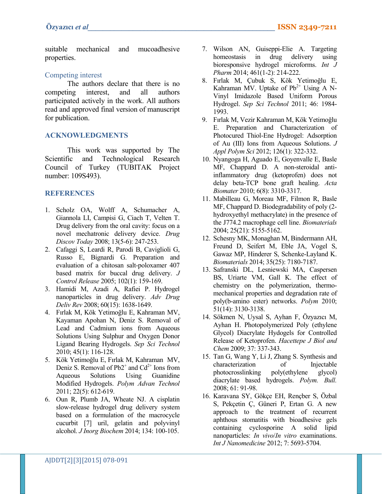suitable mechanical and mucoadhesive properties.

#### Competing interest

The authors declare that there is no competing interest, and all authors participated actively in the work. All authors read and approved final version of manuscript for publication.

#### **ACKNOWLEDGMENTS**

This work was supported by The Scientific and Technological Research Council of Turkey (TUBITAK Project number: 109S493).

#### **REFERENCES**

- 1. Scholz OA, Wolff A, Schumacher A, Giannola LI, Campisi G, Ciach T, Velten T. Drug delivery from the oral cavity: focus on a novel mechatronic delivery device. *Drug Discov Today* 2008; 13(5-6): 247-253.
- 2. Cafaggi S, Leardi R, Parodi B, Caviglioli G, Russo E, Bignardi G. Preparation and evaluation of a chitosan salt-poloxamer 407 based matrix for buccal drug delivery. *J Control Release* 2005; 102(1): 159-169.
- 3. Hamidi M, Azadi A, Rafiei P. Hydrogel nanoparticles in drug delivery. *Adv Drug Deliv Rev* 2008; 60(15): 1638-1649.
- 4. Fırlak M, Kök Yetimoğlu E, Kahraman MV, Kayaman Apohan N, Deniz S. Removal of Lead and Cadmium ions from Aqueous Solutions Using Sulphur and Oxygen Donor Ligand Bearing Hydrogels. *Sep Sci Technol* 2010; 45(1): 116-128.
- 5. Kök Yetimoğlu E, Fırlak M, Kahraman MV, Deniz S. Removal of  $Pb2^+$  and  $Cd^{2+}$  Ions from Aqueous Solutions Using Guanidine Modified Hydrogels. *Polym Advan Technol* 2011; 22(5): 612-619.
- 6. Oun R, Plumb JA, Wheate NJ. A cisplatin slow-release hydrogel drug delivery system based on a formulation of the macrocycle cucurbit [7] uril, gelatin and polyvinyl alcohol. *J Inorg Biochem* 2014; 134: 100-105.
- 7. Wilson AN, Guiseppi-Elie A. Targeting homeostasis in drug delivery using bioresponsive hydrogel microforms. *Int J Pharm* 2014; 461(1-2): 214-222.
- 8. Fırlak M, Çubuk S, Kök Yetimoğlu E, Kahraman MV. Uptake of  $Pb^{2+}$  Using A N-Vinyl Imidazole Based Uniform Porous Hydrogel. *Sep Sci Technol* 2011; 46: 1984- 1993.
- 9. Fırlak M, Vezir Kahraman M, Kök Yetimoğlu E. Preparation and Characterization of Photocured Thiol-Ene Hydrogel: Adsorption of Au (III) Ions from Aqueous Solutions. *J Appl Polym Sci* 2012; 126(1): 322-332.
- 10. Nyangoga H, Aguado E, Goyenvalle E, Basle MF, Chappard D. A non-steroidal antiinflammatory drug (ketoprofen) does not delay beta-TCP bone graft healing. *Acta Biomater* 2010; 6(8): 3310-3317.
- 11. Mabilleau G, Moreau MF, Filmon R, Basle MF, Chappard D. Biodegradability of poly (2 hydroxyethyl methacrylate) in the presence of the J774.2 macrophage cell line. *Biomaterials*  2004; 25(21): 5155-5162.
- 12. Schesny MK, Monaghan M, Bindermann AH, Freund D, Seifert M, Eble JA, Vogel S, Gawaz MP, Hinderer S, Schenke-Layland K. *Biomaterials* 2014; 35(25): 7180-7187.
- 13. Safranski DL, Lesniewski MA, Caspersen BS, Uriarte VM, Gall K. The effect of chemistry on the polymerization, thermomechanical properties and degradation rate of poly(b-amino ester) networks. *Polym* 2010; 51(14): 3130-3138.
- 14. Sökmen N, Uysal S, Ayhan F, Özyazıcı M, Ayhan H. Photopolymerized Poly (ethylene Glycol) Diacrylate Hydogels for Controlled Release of Ketoprofen. *Hacettepe J Biol and Chem* 2009; 37: 337-343.
- 15. Tan G, Wang Y, Li J, Zhang S. Synthesis and characterization of Injectable photocrosslinking poly(ethylene glycol) diacrylate based hydrogels. *Polym. Bull.* 2008; 61: 91-98.
- 16. Karavana SY, Gökçe EH, Rençber S, Özbal S, Pekçetin Ç, Güneri P, Ertan G. A new approach to the treatment of recurrent aphthous stomatitis with bioadhesive gels containing cyclosporine A solid lipid nanoparticles: *In vivo*/*In vitro* examinations. *Int J Nanomedicine* 2012; 7: 5693-5704.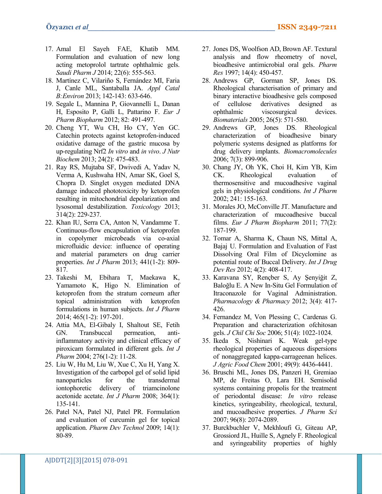- 17. Amal El Sayeh FAE, Khatib MM. Formulation and evaluation of new long acting metoprolol tartrate ophthalmic gels. *Saudi Pharm J* 2014; 22(6): 555-563.
- 18. Martínez C, Vilariño S, Fernández MI, Faria J, Canle ML, Santaballa JA. *Appl Catal B:Environ* 2013; 142-143: 633-646.
- 19. Segale L, Mannina P, Giovannelli L, Danan H, Esposito P, Galli L, Pattarino F. *Eur J Pharm Biopharm* 2012; 82: 491-497.
- 20. Cheng YT, Wu CH, Ho CY, Yen GC. Catechin protects against ketoprofen-induced oxidative damage of the gastric mucosa by up-regulating Nrf2 *In vitro* and *in vivo*. *J Nutr Biochem* 2013; 24(2): 475-483.
- 21. Ray RS, Mujtaba SF, Dwivedi A, Yadav N, Verma A, Kushwaha HN, Amar SK, Goel S, Chopra D. Singlet oxygen mediated DNA damage induced phototoxicity by ketoprofen resulting in mitochondrial depolarization and lysosomal destabilization. *Toxicology* 2013; 314(2): 229-237.
- 22. Khan IU, Serra CA, Anton N, Vandamme T. Continuous-flow encapsulation of ketoprofen in copolymer microbeads via co-axial microfluidic device: influence of operating and material parameters on drug carrier properties. *Int J Pharm* 2013; 441(1-2): 809- 817.
- 23. Takeshi M, Ebihara T, Maekawa K, Yamamoto K, Higo N. Elimination of ketoprofen from the stratum corneum after topical administration with ketoprofen formulations in human subjects. *Int J Pharm*  2014; 465(1-2): 197-201.
- 24. Attia MA, El-Gibaly I, Shaltout SE, Fetih GN. Transbuccal permeation, antiinflammatory activity and clinical efficacy of piroxicam formulated in different gels. *Int J Pharm* 2004; 276(1-2): 11-28.
- 25. Liu W, Hu M, Liu W, Xue C, Xu H, Yang X. Investigation of the carbopol gel of solid lipid nanoparticles for the transdermal iontophoretic delivery of triamcinolone acetonide acetate. *Int J Pharm* 2008; 364(1): 135-141.
- 26. Patel NA, Patel NJ, Patel PR. Formulation and evaluation of curcumin gel for topical application. *Pharm Dev Technol* 2009; 14(1): 80-89.
- 27. Jones DS, Woolfson AD, Brown AF. Textural analysis and flow rheometry of novel, bioadhesive antimicrobial oral gels. *Pharm Res* 1997; 14(4): 450-457.
- 28. Andrews GP, Gorman SP, Jones DS. Rheological characterisation of primary and binary interactive bioadhesive gels composed of cellulose derivatives designed as ophthalmic viscosurgical devices. *Biomaterials* 2005; 26(5): 571-580.
- 29. Andrews GP, Jones DS. Rheological characterization of bioadhesive binary polymeric systems designed as platforms for drug delivery implants. *Biomacromolecules* 2006; 7(3): 899-906.
- 30. Chang JY, Oh YK, Choi H, Kim YB, Kim CK. Rheological evaluation of thermosensitive and mucoadhesive vaginal gels in physiological conditions. *Int J Pharm* 2002; 241: 155-163.
- 31. Morales JO, McConville JT. Manufacture and characterization of mucoadhesive buccal films. *Eur J Pharm Biopharm* 2011; 77(2): 187-199.
- 32. Tomar A, Sharma K, Chaun NS, Mittal A, Bajaj U. Formulation and Evaluation of Fast Dissolving Oral Film of Dicyclomine as potential route of Buccal Delivery. *Int J Drug Dev Res* 2012; 4(2): 408-417.
- 33. Karavana SY, Rençber S, Ay Şenyiğit Z, Baloğlu E. A New In-Situ Gel Formulation of Itraconazole for Vaginal Administration. *Pharmacology & Pharmacy* 2012; 3(4): 417- 426.
- 34. Fernandez M, Von Plessing C, Cardenas G. Preparation and characterization ofchitosan gels. *J Chil Chi Soc* 2006; 51(4): 1022-1024.
- 35. Ikeda S, Nishinari K. Weak gel-type rheological properties of aqueous dispersions of nonaggregated kappa-carrageenan helices. *J Agric Food Chem* 2001; 49(9): 4436-4441.
- 36. Bruschi ML, Jones DS, Panzeri H, Gremiao MP, de Freitas O, Lara EH. Semisolid systems containing propolis for the treatment of periodontal disease: *In vitro* release kinetics, syringeability, rheological, textural, and mucoadhesive properties. *J Pharm Sci* 2007; 96(8): 2074-2089.
- 37. Burckbuchler V, Mekhloufi G, Giteau AP, Grossiord JL, Huille S, Agnely F. Rheological and syringeability properties of highly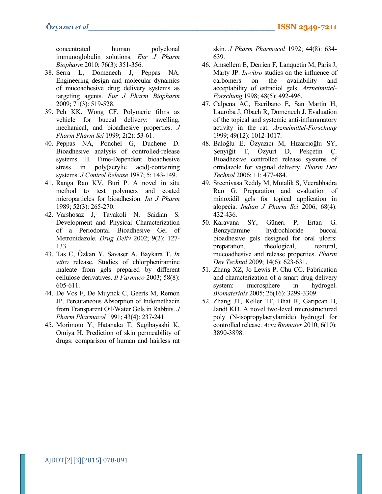concentrated human polyclonal immunoglobulin solutions. *Eur J Pharm Biopharm* 2010; 76(3): 351-356.

- 38. Serra L, Domenech J, Peppas NA. Engineering design and molecular dynamics of mucoadhesive drug delivery systems as targeting agents. *Eur J Pharm Biopharm* 2009; 71(3): 519-528.
- 39. Peh KK, Wong CF. Polymeric films as vehicle for buccal delivery: swelling, mechanical, and bioadhesive properties. *J Pharm Pharm Sci* 1999; 2(2): 53-61.
- 40. Peppas NA, Ponchel G, Duchene D. Bioadhesive analysis of controlled-release systems. II. Time-Dependent bioadhesive stress in poly(acrylic acid)-containing systems. *J Control Release* 1987; 5: 143-149.
- 41. Ranga Rao KV, Buri P. A novel in situ method to test polymers and coated microparticles for bioadhesion. *Int J Pharm* 1989; 52(3): 265-270.
- 42. Varshosaz J, Tavakoli N, Saidian S. Development and Physical Characterization of a Periodontal Bioadhesive Gel of Metronidazole. *Drug Deliv* 2002; 9(2): 127- 133.
- 43. Tas C, Özkan Y, Savaser A, Baykara T. *In vitro* release. Studies of chlorpheniramine maleate from gels prepared by different cellulose derivatives. *Il Farmaco* 2003; 58(8): 605-611.
- 44. De Vos F, De Muynck C, Geerts M, Remon JP. Percutaneous Absorption of Indomethacin from Transparent Oil/Water Gels in Rabbits. *J Pharm Pharmacol* 1991; 43(4): 237-241.
- 45. Morimoto Y, Hatanaka T, Sugibayashi K, Omiya H. Prediction of skin permeability of drugs: comparison of human and hairless rat

skin. *J Pharm Pharmacol* 1992; 44(8): 634- 639.

- 46. Amsellem E, Derrien F, Lanquetin M, Paris J, Marty JP. *In-vitro* studies on the influence of carbomers on the availability and acceptability of estradiol gels. *Arzneimittel-Forschung* 1998; 48(5): 492-496.
- 47. Calpena AC, Escribano E, San Martin H, Lauroba J, Obach R, Domenech J. Evaluation of the topical and systemic anti-inflammatory activity in the rat. *Arzneimittel-Forschung* 1999; 49(12): 1012-1017.
- 48. Baloğlu E, Özyazıcı M, Hızarcıoğlu SY, Şenyiğit T, Özyurt D, Pekçetin Ç. Bioadhesive controlled release systems of ornidazole for vaginal delivery. *Pharm Dev Technol* 2006; 11: 477-484.
- 49. Sreenivasa Reddy M, Mutalik S, Veerabhadra Rao G. Preparation and evaluation of minoxidil gels for topical application in alopecia. *Indian J Pharm Sci* 2006; 68(4): 432-436.
- 50. Karavana SY, Güneri P, Ertan G. Benzydamine hydrochloride buccal bioadhesive gels designed for oral ulcers: preparation, rheological, textural, mucoadhesive and release properties. *Pharm Dev Technol* 2009; 14(6): 623-631.
- 51. Zhang XZ, Jo Lewis P, Chu CC. Fabrication and characterization of a smart drug delivery system: microsphere in hydrogel. *Biomaterials* 2005; 26(16): 3299-3309.
- 52. Zhang JT, Keller TF, Bhat R, Garipcan B, Jandt KD. A novel two-level microstructured poly (N-isopropylacrylamide) hydrogel for controlled release. *Acta Biomater* 2010; 6(10): 3890-3898.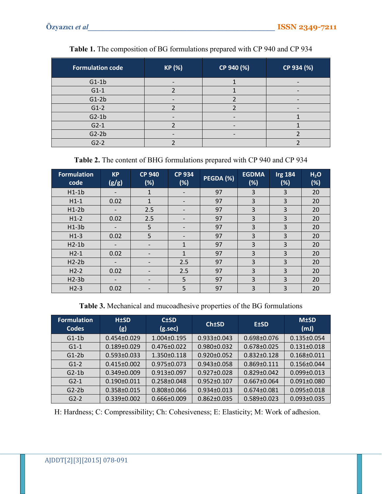| <b>Formulation code</b> | KP (%) | CP 940 (%) | CP 934 (%) |
|-------------------------|--------|------------|------------|
| $G1-1b$                 |        |            |            |
| $G1-1$                  |        |            |            |
| $G1-2b$                 |        |            |            |
| $G1-2$                  |        |            |            |
| $G2-1b$                 |        |            |            |
| $G2-1$                  |        |            |            |
| $G2-2b$                 |        |            |            |
| $G2-2$                  |        |            |            |

**Table 1.** The composition of BG formulations prepared with CP 940 and CP 934

**Table 2.** The content of BHG formulations prepared with CP 940 and CP 934

| <b>Formulation</b><br>code | <b>KP</b><br>(g/g)       | <b>CP 940</b><br>(%)         | <b>CP 934</b><br>(%)     | PEGDA(%) | <b>EGDMA</b><br>(%) | <b>Irg 184</b><br>(%) | H <sub>2</sub> O<br>(%) |
|----------------------------|--------------------------|------------------------------|--------------------------|----------|---------------------|-----------------------|-------------------------|
| $H1-1b$                    | $\qquad \qquad$          | $\mathbf{1}$                 | $\qquad \qquad$          | 97       | 3                   | 3                     | 20                      |
| $H1-1$                     | 0.02                     | $\mathbf{1}$                 | $\overline{\phantom{a}}$ | 97       | 3                   | 3                     | 20                      |
| $H1-2b$                    |                          | 2.5                          | $\qquad \qquad$          | 97       | 3                   | 3                     | 20                      |
| $H1-2$                     | 0.02                     | 2.5                          |                          | 97       | 3                   | 3                     | 20                      |
| $H1-3b$                    |                          | 5                            | $\qquad \qquad$          | 97       | 3                   | 3                     | 20                      |
| $H1-3$                     | 0.02                     | 5                            | $\overline{\phantom{a}}$ | 97       | 3                   | 3                     | 20                      |
| $H2-1b$                    |                          | $\overline{\phantom{0}}$     | $\mathbf{1}$             | 97       | 3                   | 3                     | 20                      |
| $H2-1$                     | 0.02                     |                              | 1                        | 97       | 3                   | 3                     | 20                      |
| $H2-2b$                    | $\overline{\phantom{0}}$ |                              | 2.5                      | 97       | 3                   | 3                     | 20                      |
| $H2-2$                     | 0.02                     | $\overline{\phantom{a}}$     | 2.5                      | 97       | 3                   | 3                     | 20                      |
| $H2-3b$                    |                          | $\qquad \qquad \blacksquare$ | 5                        | 97       | 3                   | 3                     | 20                      |
| $H2-3$                     | 0.02                     |                              | 5                        | 97       | 3                   | 3                     | 20                      |

**Table 3.** Mechanical and mucoadhesive properties of the BG formulations

| <b>Formulation</b><br><b>Codes</b> | <b>H±SD</b><br>(g) | $C \pm SD$<br>$(g.\sec)$ | <b>Ch±SD</b>      | <b>E±SD</b>       | <b>M±SD</b><br>(mJ) |
|------------------------------------|--------------------|--------------------------|-------------------|-------------------|---------------------|
| $G1-1b$                            | $0.454 \pm 0.029$  | $1.004 \pm 0.195$        | $0.933 \pm 0.043$ | $0.698 \pm 0.076$ | $0.135 \pm 0.054$   |
| $G1-1$                             | $0.189 \pm 0.029$  | $0.476 \pm 0.022$        | $0.980 \pm 0.032$ | $0.678 \pm 0.025$ | $0.131 \pm 0.018$   |
| $G1-2b$                            | $0.593 \pm 0.033$  | $1.350 \pm 0.118$        | $0.920 \pm 0.052$ | $0.832 \pm 0.128$ | $0.168 \pm 0.011$   |
| $G1-2$                             | $0.415 \pm 0.002$  | $0.975 \pm 0.073$        | $0.943 \pm 0.058$ | $0.869 \pm 0.111$ | $0.156 \pm 0.044$   |
| $G2-1b$                            | $0.349 \pm 0.009$  | $0.913 \pm 0.097$        | $0.927 \pm 0.028$ | $0.829 \pm 0.042$ | $0.099 \pm 0.013$   |
| $G2-1$                             | $0.190 \pm 0.011$  | $0.258 \pm 0.048$        | $0.952 \pm 0.107$ | $0.667 \pm 0.064$ | $0.091 \pm 0.080$   |
| $G2-2b$                            | $0.358 \pm 0.015$  | $0.808 \pm 0.066$        | $0.934 \pm 0.013$ | $0.674 \pm 0.081$ | $0.095 \pm 0.018$   |
| $G2-2$                             | $0.339 \pm 0.002$  | $0.666 \pm 0.009$        | $0.862 \pm 0.035$ | $0.589 \pm 0.023$ | $0.093 \pm 0.035$   |

H: Hardness; C: Compressibility; Ch: Cohesiveness; E: Elasticity; M: Work of adhesion.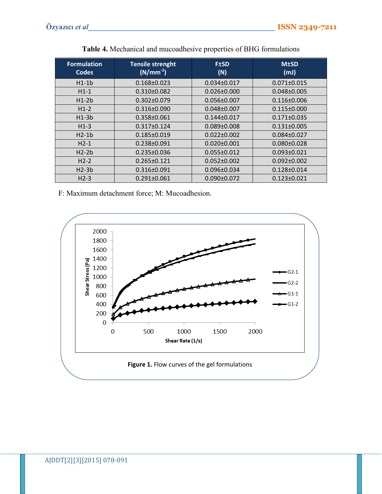| <b>Formulation</b><br><b>Codes</b> | <b>Tensile strenght</b><br>$(N/mm^{-2})$ | <b>F±SD</b><br>(N) | <b>M±SD</b><br>(mJ) |
|------------------------------------|------------------------------------------|--------------------|---------------------|
| $H1-1b$                            | $0.168 \pm 0.023$                        | $0.034 \pm 0.017$  | $0.071 \pm 0.015$   |
| $H1-1$                             | $0.310 \pm 0.082$                        | $0.026 \pm 0.000$  | $0.048 \pm 0.005$   |
| $H1-2b$                            | $0.302 \pm 0.079$                        | $0.056 \pm 0.007$  | $0.116 \pm 0.006$   |
| $H1-2$                             | $0.316 \pm 0.090$                        | $0.048 \pm 0.007$  | $0.115 \pm 0.000$   |
| $H1-3b$                            | $0.358 \pm 0.061$                        | $0.144 \pm 0.017$  | $0.171 \pm 0.035$   |
| $H1-3$                             | $0.317 \pm 0.124$                        | $0.089 \pm 0.008$  | $0.131 \pm 0.005$   |
| $H2-1b$                            | $0.185 \pm 0.019$                        | $0.022 \pm 0.002$  | $0.084 \pm 0.027$   |
| $H2-1$                             | $0.238 \pm 0.091$                        | $0.020 \pm 0.001$  | $0.080 \pm 0.028$   |
| $H2-2b$                            | $0.235 \pm 0.036$                        | $0.055 \pm 0.012$  | $0.093 \pm 0.021$   |
| $H2-2$                             | $0.265 \pm 0.121$                        | $0.052 \pm 0.002$  | $0.092 \pm 0.002$   |
| $H2-3b$                            | $0.316 \pm 0.091$                        | $0.096 \pm 0.034$  | $0.128 \pm 0.014$   |
| $H2-3$                             | $0.291 \pm 0.061$                        | $0.090 \pm 0.072$  | $0.123 \pm 0.021$   |

**Table 4.** Mechanical and mucoadhesive properties of BHG formulations

F: Maximum detachment force; M: Mucoadhesion.

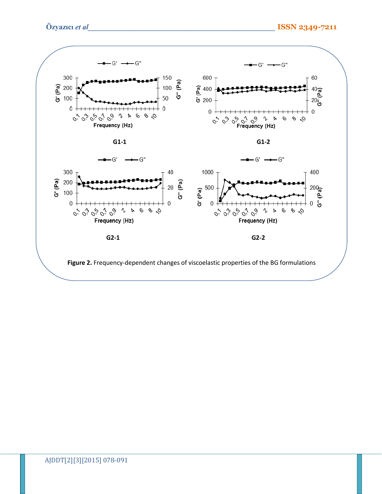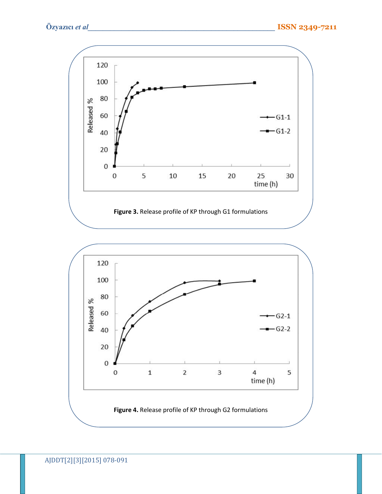120 100 80 Released % 60  $-61-1$  $-61-2$ 40 20  $\boldsymbol{0}$ 5  $10\,$ 20 25 0 15 30 time (h)

# **Figure 3.** Release profile of KP through G1 formulations